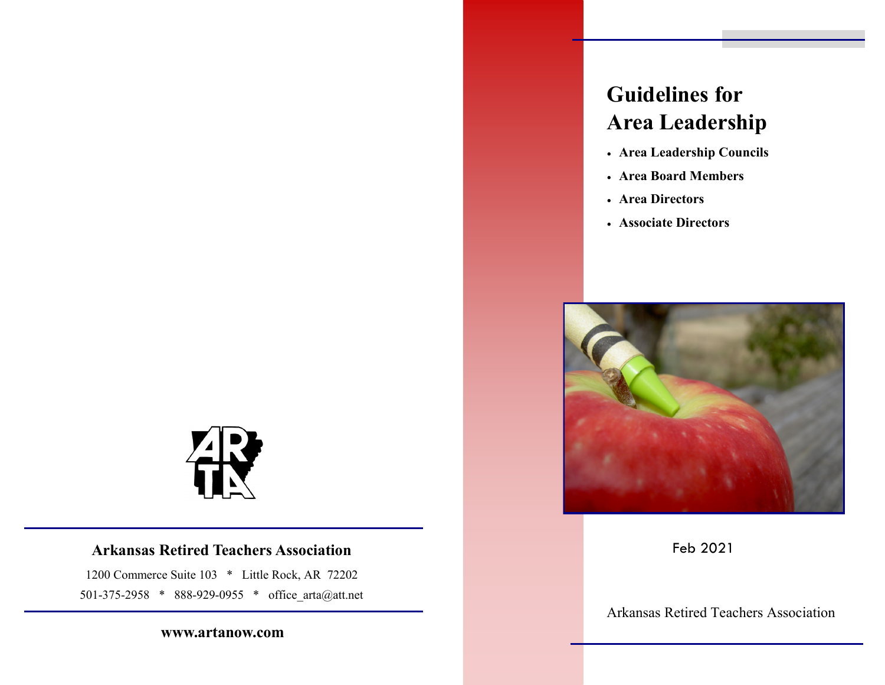## **Arkansas Retired Teachers Association**

1200 Commerce Suite 103 \* Little Rock, AR 72202 501-375-2958 \* 888-929-0955 \* office\_arta@att.net

### **www.artanow.com**

# **Guidelines for Area Leadership**

- **Area Leadership Councils**
- **Area Board Members**
- **Area Directors**
- **Associate Directors**



Feb 2021

Arkansas Retired Teachers Association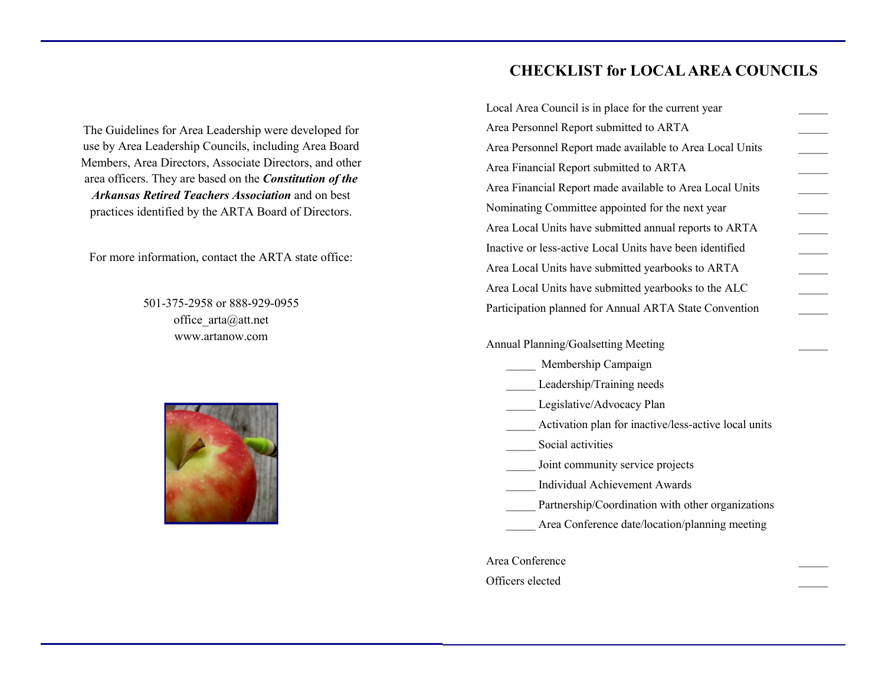The Guidelines for Area Leadership were developed for use by Area Leadership Councils, including Area Board Members, Area Directors, Associate Directors, and other area officers. They are based on the *Constitution of the Arkansas Retired Teachers Association* and on best practices identified by the ARTA Board of Directors.

For more information, contact the ARTA state office:

501-375-2958 or 888-929-0955 office\_arta@att.net www.artanow.com



# **CHECKLIST for LOCAL AREA COUNCILS**

| Local Area Council is in place for the current year      |
|----------------------------------------------------------|
| Area Personnel Report submitted to ARTA                  |
| Area Personnel Report made available to Area Local Units |
| Area Financial Report submitted to ARTA                  |
| Area Financial Report made available to Area Local Units |
| Nominating Committee appointed for the next year         |
| Area Local Units have submitted annual reports to ARTA   |
| Inactive or less-active Local Units have been identified |
| Area Local Units have submitted yearbooks to ARTA        |
| Area Local Units have submitted yearbooks to the ALC     |
| Participation planned for Annual ARTA State Convention   |
|                                                          |

Annual Planning/Goalsetting Meeting \_\_\_\_\_

- \_\_\_\_\_ Membership Campaign
- Leadership/Training needs
- Legislative/Advocacy Plan
- \_\_\_\_\_ Activation plan for inactive/less-active local units
- Social activities
- Joint community service projects
- \_\_\_\_\_ Individual Achievement Awards
- Partnership/Coordination with other organizations
- Area Conference date/location/planning meeting

Area Conference

Officers elected \_\_\_\_\_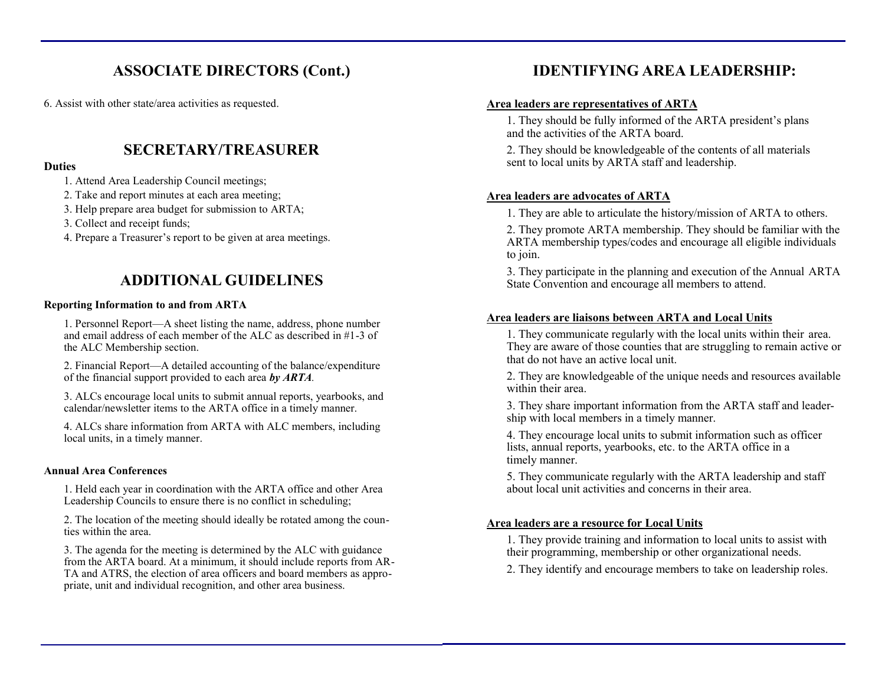# **ASSOCIATE DIRECTORS (Cont.)**

6. Assist with other state/area activities as requested.

# **SECRETARY/TREASURER**

#### **Duties**

- 1. Attend Area Leadership Council meetings;
- 2. Take and report minutes at each area meeting;
- 3. Help prepare area budget for submission to ARTA;
- 3. Collect and receipt funds;
- 4. Prepare a Treasurer's report to be given at area meetings.

# **ADDITIONAL GUIDELINES**

#### **Reporting Information to and from ARTA**

1. Personnel Report—A sheet listing the name, address, phone number and email address of each member of the ALC as described in #1-3 of the ALC Membership section.

2. Financial Report—A detailed accounting of the balance/expenditure of the financial support provided to each area *by ARTA.*

3. ALCs encourage local units to submit annual reports, yearbooks, and calendar/newsletter items to the ARTA office in a timely manner.

4. ALCs share information from ARTA with ALC members, including local units, in a timely manner.

#### **Annual Area Conferences**

1. Held each year in coordination with the ARTA office and other Area Leadership Councils to ensure there is no conflict in scheduling;

2. The location of the meeting should ideally be rotated among the counties within the area.

3. The agenda for the meeting is determined by the ALC with guidance from the ARTA board. At a minimum, it should include reports from AR-TA and ATRS, the election of area officers and board members as appropriate, unit and individual recognition, and other area business.

# **IDENTIFYING AREA LEADERSHIP:**

#### **Area leaders are representatives of ARTA**

1. They should be fully informed of the ARTA president's plans and the activities of the ARTA board.

2. They should be knowledgeable of the contents of all materials sent to local units by ARTA staff and leadership.

### **Area leaders are advocates of ARTA**

1. They are able to articulate the history/mission of ARTA to others.

2. They promote ARTA membership. They should be familiar with the ARTA membership types/codes and encourage all eligible individuals to join.

3. They participate in the planning and execution of the Annual ARTA State Convention and encourage all members to attend.

### **Area leaders are liaisons between ARTA and Local Units**

1. They communicate regularly with the local units within their area. They are aware of those counties that are struggling to remain active or that do not have an active local unit.

2. They are knowledgeable of the unique needs and resources available within their area.

3. They share important information from the ARTA staff and leadership with local members in a timely manner.

4. They encourage local units to submit information such as officer lists, annual reports, yearbooks, etc. to the ARTA office in a timely manner.

5. They communicate regularly with the ARTA leadership and staff about local unit activities and concerns in their area.

#### **Area leaders are a resource for Local Units**

1. They provide training and information to local units to assist with their programming, membership or other organizational needs.

2. They identify and encourage members to take on leadership roles.